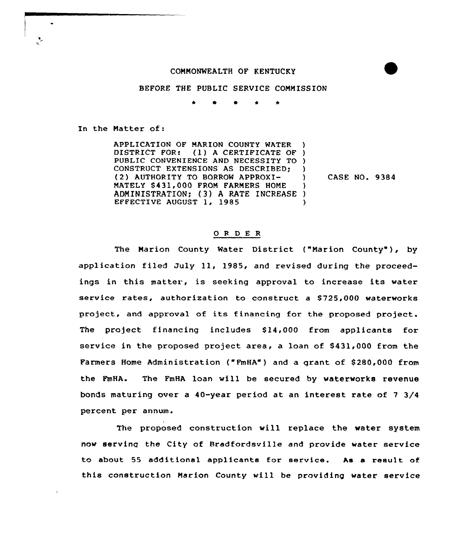#### COMMONWEALTH OF KENTUCKY

#### BEFORE THE PUBLIC SERVICE COMMISSION

 $\star$   $\bullet$ 

In the Matter of:

APPLICATION OF MARION COUNTY WATER )<br>DISTRICT FOR: (1) A CERTIFICATE OF )  $(1)$  A CERTIFICATE OF ) PUBLIC CONVENIENCE AND NECESSITY TO ) CONSTRUCT EXTENSIONS AS DESCRIBED; ) (2) AUTHORITY TO BORROW APPROXI- ) MATELY \$431,000 FROM FARMERS HOME ADMINISTRATION; (3) A RATE INCREASE )<br>EFFECTIVE AUGUST 1, 1985 EFFECTIVE AUGUST 1, 1985

CASE NO. 9384

### 0 <sup>R</sup> <sup>D</sup> E R

The Marion County Water District ("Marion County"), by application filed July ll, 1985, and revised during the proceedings in this matter, is seeking appxoval to increase its water service rates, authorization to construct a \$725,000 waterworks project, and approval of its financing for the proposed project. The project financing includes  $$14,000$  from applicants for service in the proposed project area, a loan of \$431,000 from the Farmers Home Administration ("FmHA") and a grant of \$ 280,000 from the FmHA. The FmHA loan will be secured by waterworks revenue bonds maturing over a 40-year period at an interest rate of <sup>7</sup> 3/4 percent per annum.

The proposed construction will replace the water system now serving the City of Bradfordsville and provide water service to about 55 additional applicants for sexvice. As a xesult of this construction Marion County will be providing water service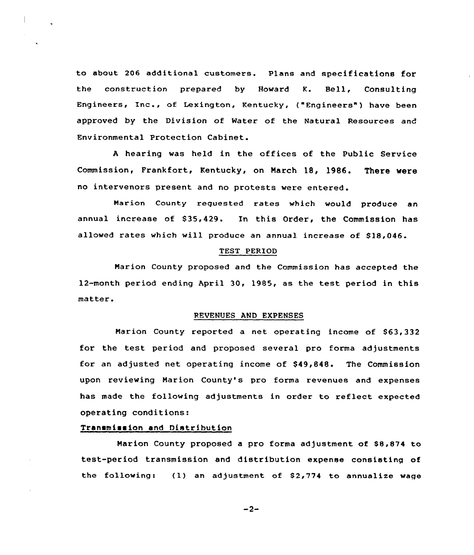to about 206 additional customers. Plans and specifications for the construction prepared by Howard K. Bell, Consulting Engineers, Inc., of Lexington, Kentucky, ("Engineers") have been approved by the Division of Water of the Natural Resources and Environmental Protection Cabinet.

<sup>A</sup> hearing was held in the offices of the Public Service Commission, Frankfort, Kentucky, on March 18, 1986. There were no intervenors present and no protests were entered .

Marion County reguested rates which would produce an annual increase of \$35,429. In this Order, the Commission has allowed rates which will produce an annual increase of \$18,046.

## TEST PERIOD

Marion County proposed and the Commission has accepted the 12-month period ending April 30, 1985, as the test period in this matter.

#### REVENUES AND EXPENSES

Marion County reported a net operating income of \$63,332 for the test period and proposed several pro forma adjustments for an adjusted net operating income of \$49,848. The Commission upon reviewing Marion County's pro forma revenues and expenses has made the following adjustments in order to reflect expected operating conditions:

## Transmission and Distribution

Marion County proposed a pro forma adjustment of \$8,874 to test-period transmission and distribution expense consisting of the following: {1) an adjustment of S2,774 to annualize wage

 $-2-$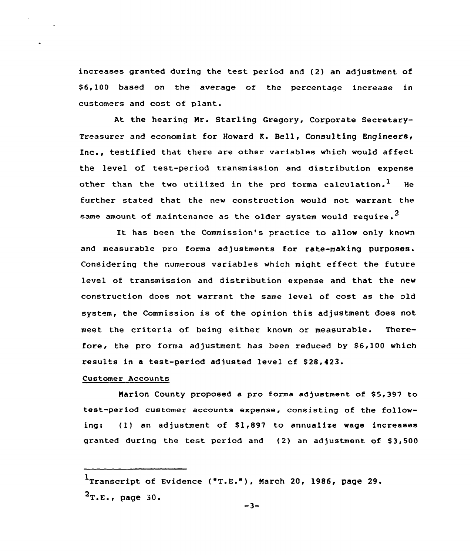increases granted during the test period and (2) an adjustment of \$ 6,100 based on the average of the percentage increase in customers and cost of plant.

At the hearing Nr. Starling Gregory, Corporate Secretary-Treasurer and economist for Howard K. Bell, Consulting Engineers, Inc., testified that there are other variables which would affect the level of test-period transmission and distribution expense other than the two utilized in the pro forma calculation.<sup>1</sup> He further stated that the new construction would not warrant the same amount of maintenance as the older system would require.<sup>2</sup>

It has been the Commission's practice to allow only known and measurable pro forma adjustments for rate-making purposes. Considering the numerous variables which might effect the future level of transmission and distribution expense and that the new construction does not warrant the same level of cost as the old system, the Commission is of the opinion this adjustment does not meet the criteria of being either known or measurable. Therefore, the pro forma adjustment has been reduced by \$6,100 which results in a test-period adjusted level cf 828,423.

# Customer Accounts

Marion County proposed a pro forma adjustment of \$5,397 to test-period customer accounts expense, consisting of the following:  $(1)$  an adjustment of \$1,897 to annualize wage increases granted during the test period and (2) an adjustment of \$3,500

 $1$ Transcript of Evidence ("T.E."), March 20, 1986, page 29.  $2$ T.E., page 30.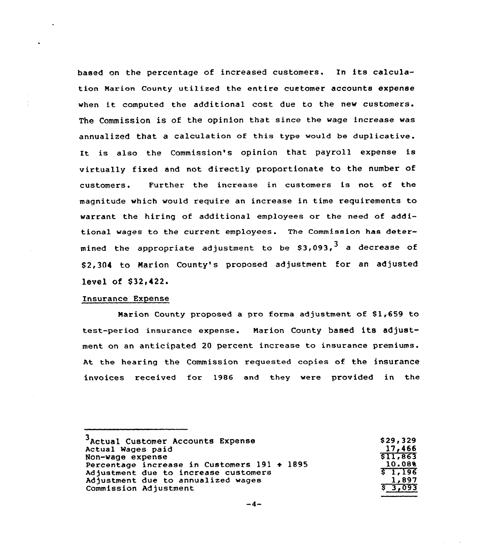based on the percentage of increased customers. In its calculation Marion County utilized the entire customer accounts expense when it computed the additional cost due to the new customers. The Commission is of the opinion that since the wage increase was annualized that a calculation of this type would be duplicative. It is also the Commission's opinion that payroll expense is virtually fixed and not directly proportionate to the number of customers. Further the increase in customers is not of the magnitude which would require an increase in time requirements to warrant the hiring of additional employees or the need of additional wages to the current employees. The Commission has determined the appropriate adjustment to be \$3,093,<sup>3</sup> a decrease of \$ 2,304 to Marion County's proposed adjustment for an adjusted level of \$32,422.

#### Insurance Expense

Marion County proposed a pro forma adjustment of \$1,659 to test-period insurance expense. Marion County based its adjustment on an anticipated 20 percent increase to insurance premiums. At the hearing the Commission requested copies of the insurance invoices received for 1986 and they were provided in the

| \$29,329 |
|----------|
| 17,466   |
| \$11,863 |
| 10.088   |
| 51.196   |
| 1.897    |
| \$3,093  |
|          |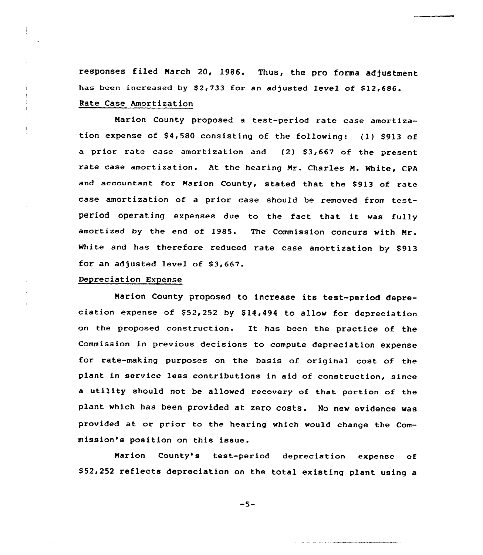responses filed March 20, 1986. Thus, the pro forma adjustment has been increased by \$2,733 for an adjusted level of \$12,686. Rate Case Amortization

Narion County proposed a test-period rate case amortization expense of \$4,580 consisting of the following: (1) \$913 of a prior rate case amortization and (2) \$3,667 of the present rate case amortization. At the hearing Nr. Charles N. White, CPA and accountant for Marion County, stated that the \$913 of rate case amortization of <sup>a</sup> prior case should be removed from testperiod operating expenses due to the fact that it was fully amortized by the end of 1985. The Commission concurs with Mr. White and has therefore reduced rate case amortization by \$913 for an adjusted level of \$3,667.

### Depreciation Expense

and a surface of the state of the

Marion County proposed to increase its test-period depreciation expense of  $$52,252$  by  $$14,494$  to allow for depreciation on the proposed construction. It has been the practice of the Commission in previous decisions to compute depreciation expense for rate-making purposes on the basis of original cost of the plant in service less contributions in aid of construction, since a utility should not be allowed recovery of that portion of the plant which has been provided at zero costs. No new evidence was provided at or prior to the hearing which would change the Commission's position on this issue.

Marion County's test-period depreciation expense of \$52,252 reflects depreciation on the total existing plant using a

 $-5-$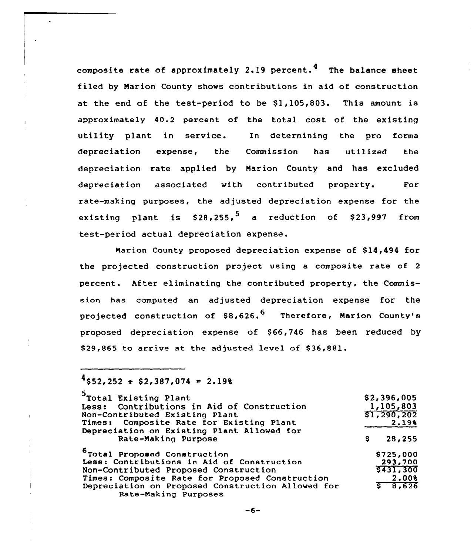composite rate of approximately 2.19 percent.<sup>4</sup> The balance sheet filed by Marion County shows contributions in aid of construction at the end of the test-period to be  $$1,105,803$ . This amount is approximately 40.2 percent of the total cost of the existing utility plant in service. In determining the pro forma depreciation expense< the Commission has utilized the depreciation rate applied by Narion County and has excluded depreciation associated with contributed property. For rate-making purposes, the adjusted depreciation expense for the existing plant is \$28,255,<sup>5</sup> a reduction of \$23,997 from test-period actual depreciation expense.

Marion County proposed depreciation expense of \$14,494 for the projected construction project using <sup>a</sup> composite rate of <sup>2</sup> percent. After eliminating the contributed property, the Commission has computed an adjusted depreciation expense for the projected construction of  $$8,626.^6$  Therefore, Marion County's proposed depreciation expense of \$66,746 has been reduced by \$29,865 to arrive at the adjusted level of \$36,881.

# $4$ \$52,252  $\div$  \$2,387,074 = 2.198

| 5<br>Total Existing Plant                         |   | \$2,396,005 |
|---------------------------------------------------|---|-------------|
| Less: Contributions in Aid of Construction        |   | 1,105,803   |
| Non-Contributed Existing Plant                    |   | \$1,290,202 |
| Times: Composite Rate for Existing Plant          |   | 2.198       |
| Depreciation on Existing Plant Allowed for        |   |             |
| Rate-Making Purpose                               | s | 28,255      |
| <sup>6</sup> Total Proposed Construction          |   | \$725,000   |
| Less: Contributions in Aid of Construction        |   | 293,700     |
| Non-Contributed Proposed Construction             |   | \$431,300   |
| Times: Composite Rate for Proposed Construction   |   | 2.008       |
| Depreciation on Proposed Construction Allowed for |   | 5, 8, 626   |
| Rate-Making Purposes                              |   |             |

 $-6-$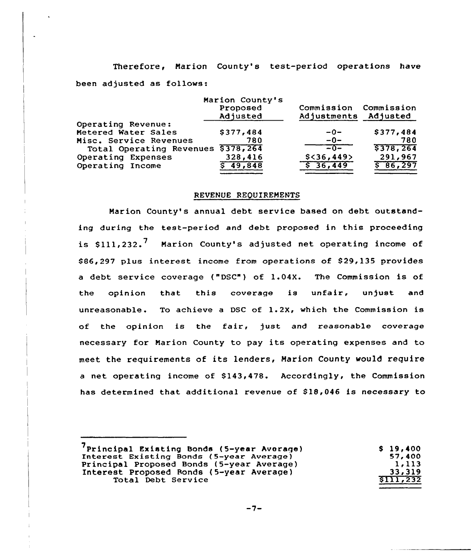Therefore, Marion County's test-period operations have been adjusted as follows:

|                          | Marion County's<br>Proposed<br>Adjusted | Commission<br>Adjustments | Commission<br>Adjusted |
|--------------------------|-----------------------------------------|---------------------------|------------------------|
| Operating Revenue:       |                                         |                           |                        |
| Metered Water Sales      | \$377,484                               | $-0-$                     | \$377,484              |
| Misc. Service Revenues   | 780                                     | $-0-$                     | 780                    |
| Total Operating Revenues | \$378,264                               | $= 0 -$                   | 5378,264               |
| Operating Expenses       | 328,416                                 | $$<$ 36,449>              | 291,967                |
| Operating Income         | 49,848                                  | \$36,449                  | \$86,297               |
|                          |                                         |                           |                        |

## REVENUE REQUIREMENTS

Marion County's annual debt service based on debt outstanding during the test-period and debt proposed in this proceeding is  $$111,232$ .<sup>7</sup> Marion County's adjusted net operating income of \$86,297 plus interest income from operations of \$29,135 provides <sup>a</sup> debt service coverage ("DSC") of 1.04X. The Commission is of the opinion that this coverage is unfair, unjust and unreasonable. To achieve <sup>a</sup> DSC of 1.2X, which the Commission is of the opinion is the fair, just and reasonable coverage necessary for Marion County to pay its operating expenses and to meet the requirements of its lenders, Marion County would require a net operating income of \$143,478. Accordingly, the Commission has determined that additional revenue of \$18,046 is necessary to

| \$19,400 |
|----------|
| 57,400   |
| 1.113    |
| 33,319   |
| 5111,232 |
|          |

 $-7-$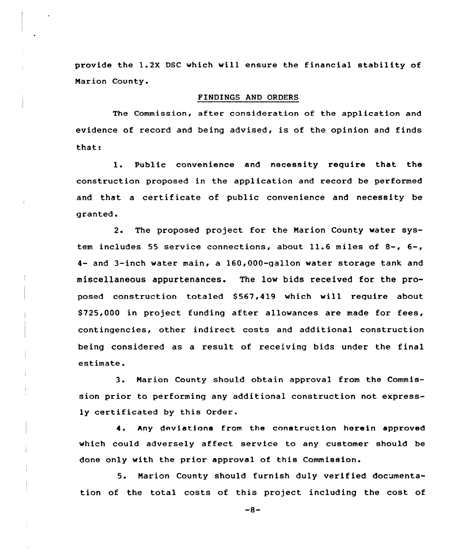provide the 1.2X DSC which will ensure the financial stability of Narion County.

#### FINDINGS AND ORDERS

The Commission, after consideration of the application and evidence of record and being advised, is of the opinion and finds that:

1. Public convenience and necessity require that the construction proposed in the application and record be performed and that a certificate of public convenience and necessity be granted.

2. The proposed project for the Narion County water system includes 55 service connections, about 11.6 miles of 8-, 6-, 4- and 3-inch water main, a 160,000-qallon water storage tank and miscellaneous appurtenances. The low bids received for the proposed construction totaled 8567,419 which will require about \$ 725,000 in project funding after allowances are made for fees, contingencies, other indirect costs and additional construction being considered as a result of receiving bids under the final estimate.

3. Narion County should obtain approval from the Commission prior to performing any additional construction not expressly certificated by this Order.

4. Any deviations from the construction herein approved which could adversely affect service to any customer should be done only with the prior approval of this Commission.

5. Narion County should furnish duly verified documentation of the total costs of this project including the cost of

 $-8-$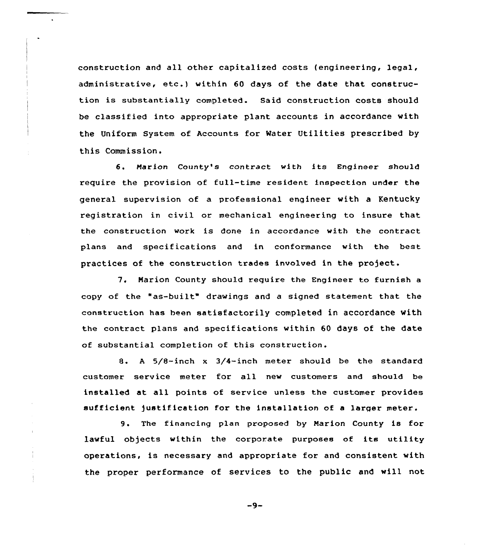construction and all other capitalized costs (engineering, legal, administrative, etc.) within <sup>60</sup> days of the date that construction is substantially completed. Said construction costs should be classified into appropriate plant accounts in accordance with the Uniform System of Accounts for Water Utilities prescribed by this Commission.

6. Marion County's contract with its Engineer should require the provision of full-time resident inspection under the general supervision of a professional engineer with a Kentucky registration in civil or mechanical engineering to insure that the construction work is done in accordance with the contract plans and specifications and in conformance with the best practices of the construction trades involved in the project.

7. Marion County should require the Engineer to furnish <sup>a</sup> copy of the "as-built" drawings and <sup>a</sup> signed statement that the construction has been satisfactorily completed in accordance with the contract plans and specifications within 60 days of the date of substantial completion of this construction.

8. <sup>A</sup> 5/8-inch <sup>x</sup> 3/4-inch meter should be the standard customer service meter for all new customers and should be installed at all points of service unless the customer provides sufficient justification for the installation of a larger meter.

9. The financing plan proposed by Marion County is for lawful objects within the corporate purposes of its utility operations, is necessary and appropriate for and consistent with the proper performance of services to the public and will not

 $-9-$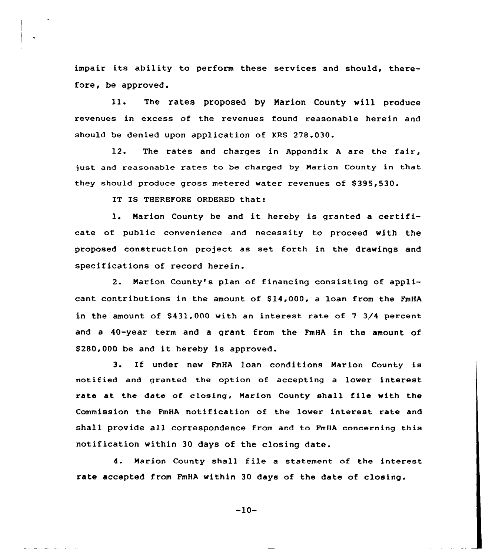impair its ability to perform these services and should, therefore, be approved.

ll. The rates proposed by Marion County will produce revenues in excess of the revenues found reasonable herein and should be denied upon application of KRS 278.030.

12. The rates and charges in Appendix <sup>A</sup> are the fair, just and reasonable rates to be charged by Marion County in that they should produce gross metered water revenues of \$395,530.

IT IS THEREFORE ORDERED that:

1. Marion County be and it hereby is granted <sup>a</sup> certificate of public convenience and necessity to proceed with the proposed construction project as set forth in the drawings and specifications of record herein.

2. Marion County's plan of financing consisting of applicant contributions in the amount of \$14,000, a loan from the FmHA in the amount of  $$431,000$  with an interest rate of 7 3/4 percent and a 40-year term and a grant from the FmHA in the amount of \$ 280,000 be and it hereby is approved.

3. If under new FmHA loan conditions Marion County is notified and granted the option of accepting a lower interest rate at the date of closing, Marion County shall file with the Commission the FmHA notification of the lover interest rate and shall provide all correspondence from and to FmHA concerning this notification within 30 days of the closing date.

4. Marion County shall file <sup>a</sup> statement of the interest rate accepted from FmHA within 30 days of the date of closing.

-10-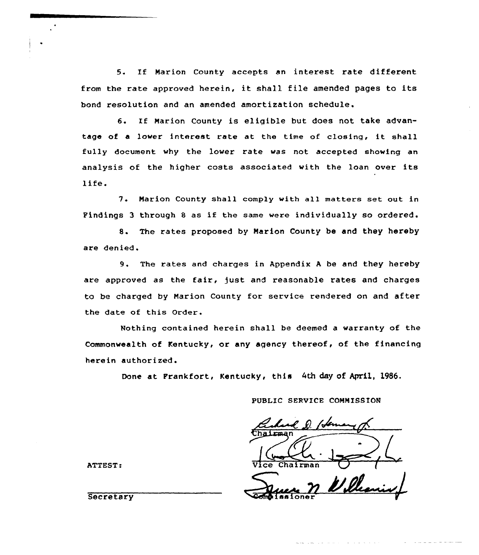5. If Marion County accepts an interest rate different from the rate approved herein, it shall file amended pages to its bond resolution and an amended amortization schedule.

6. If Marion County is eligible but does not take advantage of <sup>a</sup> lower interest rate at the time of closing, it shall fully document why the lover rate vas not accepted showing an analysis of the higher costs associated with the loan over its life.

7. Marion County shall comply with all matters set out in Findings <sup>3</sup> through <sup>8</sup> as if the same were individually so ordered.

8. The rates proposed by Marion County be and they hereby are denied,

9. The rates and charges in Appendix <sup>A</sup> be and they hereby are approved as the fair, just and reasonable rates and charges to be charged by Marion County for service rendered on and after the date of this Order.

Nothing contained herein shall be deemed a warranty of the Commonwealth of Kentucky, or any agency thereof, of the financing herein authorized.

Done at Prankfort, Kentucky, this 4th day of April, 1986.

PUBLIC SERVICE COMMISSION

Chairman

ATTEST:

**Secretary**